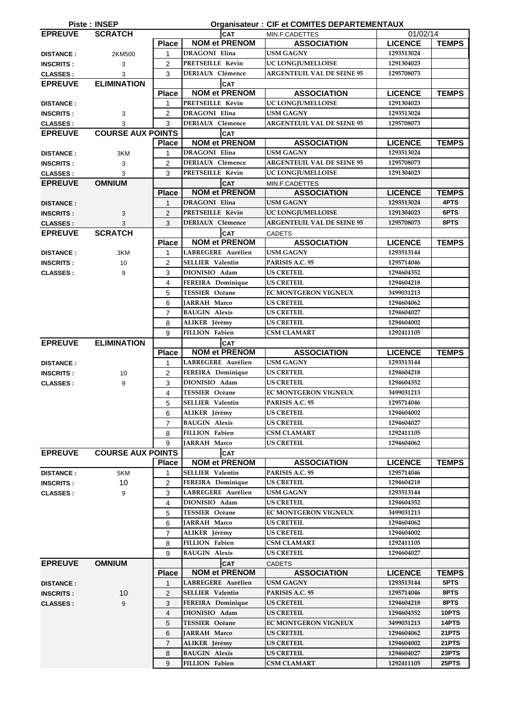|                  | <b>Piste: INSEP</b>      |                |                                               | <b>Organisateur: CIF et COMITES DEPARTEMENTAUX</b> |                          |                |
|------------------|--------------------------|----------------|-----------------------------------------------|----------------------------------------------------|--------------------------|----------------|
| <b>EPREUVE</b>   | <b>SCRATCH</b>           |                | <b>CAT</b>                                    | MIN.F.CADETTES                                     | 01/02/14                 |                |
|                  |                          | <b>Place</b>   | <b>NOM et PRENOM</b>                          | <b>ASSOCIATION</b>                                 | <b>LICENCE</b>           | <b>TEMPS</b>   |
| <b>DISTANCE:</b> | 2KM500                   | $\mathbf{1}$   | <b>DRAGONI</b> Elina                          | <b>USM GAGNY</b>                                   | 1293513024               |                |
| <b>INSCRITS:</b> | 3                        | $\overline{2}$ | PRETSEILLE Kévin                              | UC LONGJUMELLOISE                                  | 1291304023               |                |
| <b>CLASSES:</b>  | 3                        | 3              | <b>DERIAUX</b> Clémence                       | <b>ARGENTEUIL VAL DE SEINE 95</b>                  | 1295708073               |                |
| <b>EPREUVE</b>   | <b>ELIMINATION</b>       |                | <b>CAT</b>                                    |                                                    |                          |                |
|                  |                          | <b>Place</b>   | <b>NOM et PRENOM</b>                          | <b>ASSOCIATION</b>                                 | <b>LICENCE</b>           | <b>TEMPS</b>   |
| <b>DISTANCE:</b> |                          | 1              | PRETSEILLE Kévin                              | UC LONGJUMELLOISE                                  | 1291304023               |                |
| <b>INSCRITS:</b> | 3                        | $\overline{2}$ | <b>DRAGONI Elina</b>                          | <b>USM GAGNY</b>                                   | 1293513024               |                |
| <b>CLASSES:</b>  | 3                        | 3              | <b>DERIAUX Clémence</b>                       | <b>ARGENTEUIL VAL DE SEINE 95</b>                  | 1295708073               |                |
| <b>EPREUVE</b>   | <b>COURSE AUX POINTS</b> |                | <b>CAT</b>                                    |                                                    |                          |                |
|                  |                          | <b>Place</b>   | <b>NOM et PRENOM</b>                          | <b>ASSOCIATION</b>                                 | <b>LICENCE</b>           | <b>TEMPS</b>   |
| <b>DISTANCE:</b> | 3KM                      | 1              | DRAGONI Elina                                 | <b>USM GAGNY</b>                                   | 1293513024               |                |
| <b>INSCRITS:</b> | 3                        | $\overline{2}$ | <b>DERIAUX</b> Clémence                       | <b>ARGENTEUIL VAL DE SEINE 95</b>                  | 1295708073               |                |
| <b>CLASSES:</b>  | 3                        | 3              | PRETSEILLE Kévin                              | UC LONGJUMELLOISE                                  | 1291304023               |                |
| <b>EPREUVE</b>   | <b>OMNIUM</b>            |                | <b>CAT</b>                                    | MIN.F.CADETTES                                     |                          |                |
|                  |                          | <b>Place</b>   | <b>NOM et PRENOM</b>                          | <b>ASSOCIATION</b>                                 | <b>LICENCE</b>           | <b>TEMPS</b>   |
| <b>DISTANCE:</b> |                          | $\mathbf{1}$   | <b>DRAGONI Elina</b>                          | <b>USM GAGNY</b>                                   | 1293513024               | 4PTS           |
| <b>INSCRITS:</b> | 3                        | $\overline{2}$ | PRETSEILLE Kévin                              | <b>UC LONGJUMELLOISE</b>                           | 1291304023               | 6PTS           |
| <b>CLASSES:</b>  | 3                        | 3              | <b>DERIAUX</b> Clémence                       | <b>ARGENTEUIL VAL DE SEINE 95</b>                  | 1295708073               | 8PTS           |
| <b>EPREUVE</b>   | <b>SCRATCH</b>           |                | <b>CAT</b>                                    | <b>CADETS</b>                                      |                          |                |
|                  |                          | <b>Place</b>   | <b>NOM et PRENOM</b>                          | <b>ASSOCIATION</b>                                 | <b>LICENCE</b>           | <b>TEMPS</b>   |
| <b>DISTANCE:</b> | 3KM                      | 1              | LABREGERE Aurélien                            | <b>USM GAGNY</b>                                   | 1293513144               |                |
| <b>INSCRITS:</b> | 10                       | $\overline{2}$ | <b>SELLIER Valentin</b>                       | PARISIS A.C. 95                                    | 1295714046               |                |
| <b>CLASSES:</b>  | 9                        | 3              | DIONISIO Adam                                 | <b>US CRETEIL</b>                                  | 1294604352               |                |
|                  |                          | 4              | FEREIRA Dominique                             | <b>US CRETEIL</b>                                  | 1294604218               |                |
|                  |                          | 5              | <b>TESSIER Océane</b>                         | EC MONTGERON VIGNEUX                               | 3499031213               |                |
|                  |                          | 6              | JARRAH Marco                                  | <b>US CRETEIL</b>                                  | 1294604062               |                |
|                  |                          | $\overline{7}$ | <b>BAUGIN Alexis</b>                          | <b>US CRETEIL</b>                                  | 1294604027               |                |
|                  |                          | 8              | ALIKER Jérémy                                 | <b>US CRETEIL</b>                                  | 1294604002               |                |
|                  |                          | 9              | FILLION Fabien                                | <b>CSM CLAMART</b>                                 | 1292411105               |                |
| <b>EPREUVE</b>   | <b>ELIMINATION</b>       |                | <b>CAT</b>                                    |                                                    |                          |                |
|                  |                          |                |                                               |                                                    |                          |                |
|                  |                          | <b>Place</b>   | <b>NOM et PRENOM</b>                          | <b>ASSOCIATION</b>                                 | <b>LICENCE</b>           | <b>TEMPS</b>   |
| <b>DISTANCE:</b> |                          | 1              | LABREGERE Aurélien                            | <b>USM GAGNY</b>                                   | 1293513144               |                |
| <b>INSCRITS:</b> | 10                       | $\overline{2}$ | FEREIRA Dominique                             | <b>US CRETEIL</b>                                  | 1294604218               |                |
| <b>CLASSES:</b>  | 9                        | 3              | DIONISIO Adam                                 | <b>US CRETEIL</b>                                  | 1294604352               |                |
|                  |                          | 4              | <b>TESSIER Océane</b>                         | EC MONTGERON VIGNEUX                               | 3499031213               |                |
|                  |                          | 5              | SELLIER Valentin                              | PARISIS A.C. 95                                    | 1295714046               |                |
|                  |                          | 6              | ALIKER Jérémy                                 | <b>US CRETEIL</b>                                  | 1294604002               |                |
|                  |                          | $\overline{7}$ | <b>BAUGIN Alexis</b>                          | <b>US CRETEIL</b>                                  | 1294604027               |                |
|                  |                          | 8              | <b>FILLION Fabien</b>                         | CSM CLAMART                                        | 1292411105               |                |
|                  |                          | 9              | JARRAH Marco                                  | <b>US CRETEIL</b>                                  | 1294604062               |                |
| <b>EPREUVE</b>   | <b>COURSE AUX POINTS</b> |                | <b>CAT</b>                                    |                                                    |                          |                |
|                  |                          | <b>Place</b>   | <b>NOM et PRENOM</b>                          | <b>ASSOCIATION</b>                                 | <b>LICENCE</b>           | <b>TEMPS</b>   |
| <b>DISTANCE:</b> | 5KM                      | 1              | <b>SELLIER Valentin</b>                       | PARISIS A.C. 95                                    | 1295714046               |                |
| <b>INSCRITS:</b> | 10                       | $\overline{2}$ | FEREIRA Dominique                             | <b>US CRETEIL</b>                                  | 1294604218               |                |
| <b>CLASSES:</b>  | 9                        | 3              | LABREGERE Aurélien                            | <b>USM GAGNY</b>                                   | 1293513144               |                |
|                  |                          | 4              | DIONISIO Adam                                 | <b>US CRETEIL</b>                                  | 1294604352               |                |
|                  |                          | 5              | <b>TESSIER Océane</b>                         | EC MONTGERON VIGNEUX                               | 3499031213               |                |
|                  |                          | 6              | JARRAH Marco                                  | <b>US CRETEIL</b>                                  | 1294604062               |                |
|                  |                          | $\overline{7}$ | ALIKER Jérémy                                 | <b>US CRETEIL</b>                                  | 1294604002               |                |
|                  |                          | 8              | <b>FILLION Fabien</b>                         | <b>CSM CLAMART</b>                                 | 1292411105               |                |
|                  |                          | 9              | <b>BAUGIN Alexis</b>                          | <b>US CRETEIL</b>                                  | 1294604027               |                |
| <b>EPREUVE</b>   | <b>OMNIUM</b>            |                | <b>CAT</b>                                    | <b>CADETS</b>                                      |                          |                |
|                  |                          | <b>Place</b>   | <b>NOM et PRENOM</b>                          | <b>ASSOCIATION</b>                                 | <b>LICENCE</b>           | <b>TEMPS</b>   |
| <b>DISTANCE:</b> |                          | 1              | LABREGERE Aurélien                            | <b>USM GAGNY</b>                                   | 1293513144               | 5PTS           |
| <b>INSCRITS:</b> | 10                       | $\overline{2}$ | <b>SELLIER Valentin</b>                       | PARISIS A.C. 95                                    | 1295714046               | 8PTS           |
| <b>CLASSES:</b>  | 9                        | 3              | FEREIRA Dominique                             | <b>US CRETEIL</b>                                  | 1294604218               | 8PTS           |
|                  |                          | 4              | DIONISIO Adam                                 | <b>US CRETEIL</b>                                  | 1294604352               | 10PTS          |
|                  |                          | 5              | <b>TESSIER</b> Océane                         | EC MONTGERON VIGNEUX                               | 3499031213               | 14PTS          |
|                  |                          | 6              | JARRAH Marco                                  | <b>US CRETEIL</b>                                  | 1294604062               | 21PTS          |
|                  |                          | $\overline{7}$ | ALIKER Jérémy                                 | <b>US CRETEIL</b>                                  | 1294604002               | 21PTS          |
|                  |                          | 8<br>9         | <b>BAUGIN Alexis</b><br><b>FILLION</b> Fabien | <b>US CRETEIL</b><br><b>CSM CLAMART</b>            | 1294604027<br>1292411105 | 23PTS<br>25PTS |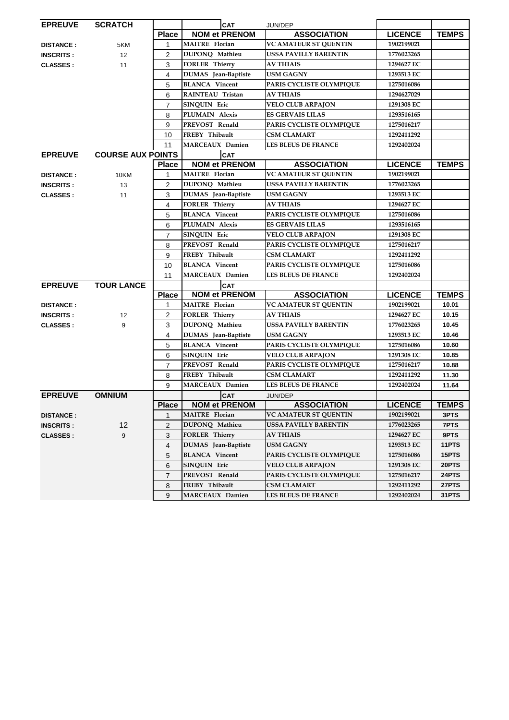| <b>EPREUVE</b>   | <b>SCRATCH</b>           |                         | <b>CAT</b>             | JUN/DEP                      |                |              |
|------------------|--------------------------|-------------------------|------------------------|------------------------------|----------------|--------------|
|                  |                          | <b>Place</b>            | <b>NOM et PRENOM</b>   | <b>ASSOCIATION</b>           | <b>LICENCE</b> | <b>TEMPS</b> |
| <b>DISTANCE:</b> | 5KM                      | $\mathbf{1}$            | <b>MAITRE</b> Florian  | <b>VC AMATEUR ST QUENTIN</b> | 1902199021     |              |
| <b>INSCRITS:</b> | 12                       | 2                       | DUPONQ Mathieu         | <b>USSA PAVILLY BARENTIN</b> | 1776023265     |              |
| <b>CLASSES:</b>  | 11                       | 3                       | <b>FORLER Thierry</b>  | <b>AV THIAIS</b>             | 1294627 EC     |              |
|                  |                          | 4                       | DUMAS Jean-Baptiste    | <b>USM GAGNY</b>             | 1293513 EC     |              |
|                  |                          | 5                       | <b>BLANCA</b> Vincent  | PARIS CYCLISTE OLYMPIQUE     | 1275016086     |              |
|                  |                          | 6                       | RAINTEAU Tristan       | <b>AV THIAIS</b>             | 1294627029     |              |
|                  |                          | $\overline{7}$          | SINQUIN Eric           | <b>VELO CLUB ARPAJON</b>     | 1291308 EC     |              |
|                  |                          | 8                       | PLUMAIN Alexis         | <b>ES GERVAIS LILAS</b>      | 1293516165     |              |
|                  |                          | 9                       | PREVOST Renald         | PARIS CYCLISTE OLYMPIQUE     | 1275016217     |              |
|                  |                          | 10                      | FREBY Thibault         | <b>CSM CLAMART</b>           | 1292411292     |              |
|                  |                          | 11                      | MARCEAUX Damien        | <b>LES BLEUS DE FRANCE</b>   | 1292402024     |              |
| <b>EPREUVE</b>   | <b>COURSE AUX POINTS</b> |                         | <b>CAT</b>             |                              |                |              |
|                  |                          | <b>Place</b>            | <b>NOM et PRENOM</b>   | <b>ASSOCIATION</b>           | <b>LICENCE</b> | <b>TEMPS</b> |
| <b>DISTANCE:</b> | 10KM                     | $\mathbf{1}$            | <b>MAITRE</b> Florian  | <b>VC AMATEUR ST QUENTIN</b> | 1902199021     |              |
| <b>INSCRITS:</b> | 13                       | $\overline{c}$          | DUPONQ Mathieu         | <b>USSA PAVILLY BARENTIN</b> | 1776023265     |              |
| <b>CLASSES:</b>  | 11                       | 3                       | DUMAS Jean-Baptiste    | <b>USM GAGNY</b>             | 1293513 EC     |              |
|                  |                          | 4                       | <b>FORLER Thierry</b>  | <b>AV THIAIS</b>             | 1294627 EC     |              |
|                  |                          | 5                       | <b>BLANCA</b> Vincent  | PARIS CYCLISTE OLYMPIQUE     | 1275016086     |              |
|                  |                          | 6                       | PLUMAIN Alexis         | <b>ES GERVAIS LILAS</b>      | 1293516165     |              |
|                  |                          | $\overline{7}$          | SINQUIN Eric           | <b>VELO CLUB ARPAJON</b>     | 1291308 EC     |              |
|                  |                          | 8                       | PREVOST Renald         | PARIS CYCLISTE OLYMPIQUE     | 1275016217     |              |
|                  |                          | 9                       | FREBY Thibault         | <b>CSM CLAMART</b>           | 1292411292     |              |
|                  |                          | 10                      | <b>BLANCA</b> Vincent  | PARIS CYCLISTE OLYMPIQUE     | 1275016086     |              |
|                  |                          | 11                      | MARCEAUX Damien        | <b>LES BLEUS DE FRANCE</b>   | 1292402024     |              |
| <b>EPREUVE</b>   | <b>TOUR LANCE</b>        |                         | <b>CAT</b>             |                              |                |              |
|                  |                          | <b>Place</b>            | <b>NOM et PRENOM</b>   | <b>ASSOCIATION</b>           | <b>LICENCE</b> | <b>TEMPS</b> |
| <b>DISTANCE:</b> |                          | $\mathbf{1}$            | <b>MAITRE</b> Florian  | <b>VC AMATEUR ST QUENTIN</b> | 1902199021     | 10.01        |
| <b>INSCRITS:</b> | 12                       | $\overline{\mathbf{c}}$ | <b>FORLER Thierry</b>  | <b>AV THIAIS</b>             | 1294627 EC     | 10.15        |
| <b>CLASSES:</b>  | 9                        | 3                       | DUPONQ Mathieu         | <b>USSA PAVILLY BARENTIN</b> | 1776023265     | 10.45        |
|                  |                          | 4                       | DUMAS Jean-Baptiste    | <b>USM GAGNY</b>             | 1293513 EC     | 10.46        |
|                  |                          | 5                       | <b>BLANCA</b> Vincent  | PARIS CYCLISTE OLYMPIQUE     | 1275016086     | 10.60        |
|                  |                          | 6                       | SINQUIN Eric           | <b>VELO CLUB ARPAJON</b>     | 1291308 EC     | 10.85        |
|                  |                          | $\overline{7}$          | PREVOST Renald         | PARIS CYCLISTE OLYMPIQUE     | 1275016217     | 10.88        |
|                  |                          | 8                       | FREBY Thibault         | <b>CSM CLAMART</b>           | 1292411292     | 11.30        |
|                  |                          | 9                       | <b>MARCEAUX Damien</b> | <b>LES BLEUS DE FRANCE</b>   | 1292402024     | 11.64        |
| <b>EPREUVE</b>   | <b>OMNIUM</b>            |                         | <b>CAT</b>             | JUN/DEP                      |                |              |
|                  |                          | <b>Place</b>            | <b>NOM et PRENOM</b>   | <b>ASSOCIATION</b>           | <b>LICENCE</b> | <b>TEMPS</b> |
| <b>DISTANCE:</b> |                          | 1                       | <b>MAITRE</b> Florian  | <b>VC AMATEUR ST QUENTIN</b> | 1902199021     | 3PTS         |
| <b>INSCRITS:</b> | 12                       | $\overline{c}$          | DUPONQ Mathieu         | <b>USSA PAVILLY BARENTIN</b> | 1776023265     | 7PTS         |
| <b>CLASSES:</b>  | 9                        | 3                       | <b>FORLER Thierry</b>  | <b>AV THIAIS</b>             | 1294627 EC     | 9PTS         |
|                  |                          | 4                       | DUMAS Jean-Baptiste    | <b>USM GAGNY</b>             | 1293513 EC     | 11PTS        |
|                  |                          | 5                       | <b>BLANCA</b> Vincent  | PARIS CYCLISTE OLYMPIQUE     | 1275016086     | 15PTS        |
|                  |                          | 6                       | SINQUIN Eric           | <b>VELO CLUB ARPAJON</b>     | 1291308 EC     | 20PTS        |
|                  |                          | $\overline{7}$          | PREVOST Renald         | PARIS CYCLISTE OLYMPIQUE     | 1275016217     | 24PTS        |
|                  |                          | 8                       | FREBY Thibault         | <b>CSM CLAMART</b>           | 1292411292     | 27PTS        |
|                  |                          | 9                       | MARCEAUX Damien        | LES BLEUS DE FRANCE          | 1292402024     | 31PTS        |